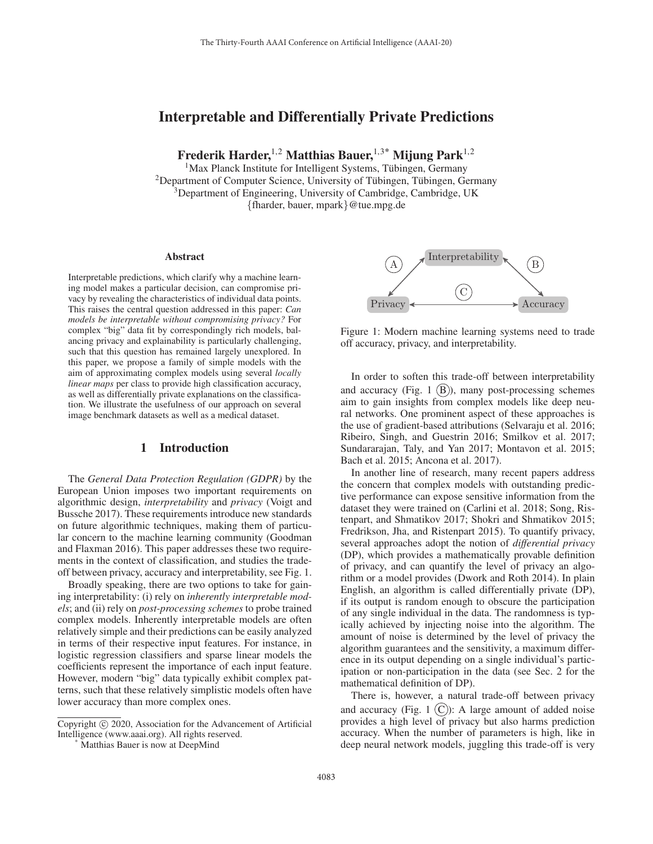# Interpretable and Differentially Private Predictions

Frederik Harder,<sup>1,2</sup> Matthias Bauer,<sup>1,3\*</sup> Mijung Park<sup>1,2</sup>

 $<sup>1</sup>$ Max Planck Institute for Intelligent Systems, Tübingen, Germany</sup> <sup>2</sup>Department of Computer Science, University of Tübingen, Tübingen, Germany <sup>3</sup>Department of Engineering, University of Cambridge, Cambridge, UK {fharder, bauer, mpark}@tue.mpg.de

#### Abstract

Interpretable predictions, which clarify why a machine learning model makes a particular decision, can compromise privacy by revealing the characteristics of individual data points. This raises the central question addressed in this paper: *Can models be interpretable without compromising privacy?* For complex "big" data fit by correspondingly rich models, balancing privacy and explainability is particularly challenging, such that this question has remained largely unexplored. In this paper, we propose a family of simple models with the aim of approximating complex models using several *locally linear maps* per class to provide high classification accuracy, as well as differentially private explanations on the classification. We illustrate the usefulness of our approach on several image benchmark datasets as well as a medical dataset.

### 1 Introduction

The *General Data Protection Regulation (GDPR)* by the European Union imposes two important requirements on algorithmic design, *interpretability* and *privacy* (Voigt and Bussche 2017). These requirements introduce new standards on future algorithmic techniques, making them of particular concern to the machine learning community (Goodman and Flaxman 2016). This paper addresses these two requirements in the context of classification, and studies the tradeoff between privacy, accuracy and interpretability, see Fig. 1.

Broadly speaking, there are two options to take for gaining interpretability: (i) rely on *inherently interpretable models*; and (ii) rely on *post-processing schemes* to probe trained complex models. Inherently interpretable models are often relatively simple and their predictions can be easily analyzed in terms of their respective input features. For instance, in logistic regression classifiers and sparse linear models the coefficients represent the importance of each input feature. However, modern "big" data typically exhibit complex patterns, such that these relatively simplistic models often have lower accuracy than more complex ones.



Figure 1: Modern machine learning systems need to trade off accuracy, privacy, and interpretability.

In order to soften this trade-off between interpretability and accuracy (Fig. 1  $(B)$ ), many post-processing schemes aim to gain insights from complex models like deep neural networks. One prominent aspect of these approaches is the use of gradient-based attributions (Selvaraju et al. 2016; Ribeiro, Singh, and Guestrin 2016; Smilkov et al. 2017; Sundararajan, Taly, and Yan 2017; Montavon et al. 2015; Bach et al. 2015; Ancona et al. 2017).

In another line of research, many recent papers address the concern that complex models with outstanding predictive performance can expose sensitive information from the dataset they were trained on (Carlini et al. 2018; Song, Ristenpart, and Shmatikov 2017; Shokri and Shmatikov 2015; Fredrikson, Jha, and Ristenpart 2015). To quantify privacy, several approaches adopt the notion of *differential privacy* (DP), which provides a mathematically provable definition of privacy, and can quantify the level of privacy an algorithm or a model provides (Dwork and Roth 2014). In plain English, an algorithm is called differentially private (DP), if its output is random enough to obscure the participation of any single individual in the data. The randomness is typically achieved by injecting noise into the algorithm. The amount of noise is determined by the level of privacy the algorithm guarantees and the sensitivity, a maximum difference in its output depending on a single individual's participation or non-participation in the data (see Sec. 2 for the mathematical definition of DP).

There is, however, a natural trade-off between privacy and accuracy (Fig. 1  $(C)$ ): A large amount of added noise provides a high level of privacy but also harms prediction accuracy. When the number of parameters is high, like in deep neural network models, juggling this trade-off is very

Copyright  $\odot$  2020, Association for the Advancement of Artificial Intelligence (www.aaai.org). All rights reserved. \* Matthias Bauer is now at DeepMind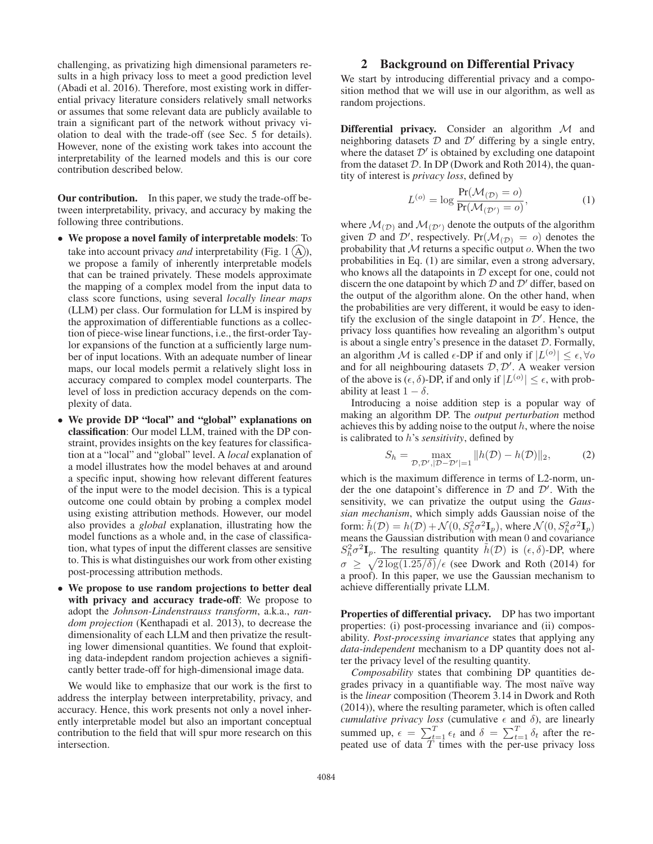challenging, as privatizing high dimensional parameters results in a high privacy loss to meet a good prediction level (Abadi et al. 2016). Therefore, most existing work in differential privacy literature considers relatively small networks or assumes that some relevant data are publicly available to train a significant part of the network without privacy violation to deal with the trade-off (see Sec. 5 for details). However, none of the existing work takes into account the interpretability of the learned models and this is our core contribution described below.

Our contribution. In this paper, we study the trade-off between interpretability, privacy, and accuracy by making the following three contributions.

- We propose a novel family of interpretable models: To take into account privacy *and* interpretability (Fig. 1  $(A)$ ), we propose a family of inherently interpretable models that can be trained privately. These models approximate the mapping of a complex model from the input data to class score functions, using several *locally linear maps* (LLM) per class. Our formulation for LLM is inspired by the approximation of differentiable functions as a collection of piece-wise linear functions, i.e., the first-order Taylor expansions of the function at a sufficiently large number of input locations. With an adequate number of linear maps, our local models permit a relatively slight loss in accuracy compared to complex model counterparts. The level of loss in prediction accuracy depends on the complexity of data.
- We provide DP "local" and "global" explanations on classification: Our model LLM, trained with the DP constraint, provides insights on the key features for classification at a "local" and "global" level. A *local* explanation of a model illustrates how the model behaves at and around a specific input, showing how relevant different features of the input were to the model decision. This is a typical outcome one could obtain by probing a complex model using existing attribution methods. However, our model also provides a *global* explanation, illustrating how the model functions as a whole and, in the case of classification, what types of input the different classes are sensitive to. This is what distinguishes our work from other existing post-processing attribution methods.
- We propose to use random projections to better deal with privacy and accuracy trade-off: We propose to adopt the *Johnson-Lindenstrauss transform*, a.k.a., *random projection* (Kenthapadi et al. 2013), to decrease the dimensionality of each LLM and then privatize the resulting lower dimensional quantities. We found that exploiting data-indepdent random projection achieves a significantly better trade-off for high-dimensional image data.

We would like to emphasize that our work is the first to address the interplay between interpretability, privacy, and accuracy. Hence, this work presents not only a novel inherently interpretable model but also an important conceptual contribution to the field that will spur more research on this intersection.

# 2 Background on Differential Privacy

We start by introducing differential privacy and a composition method that we will use in our algorithm, as well as random projections.

Differential privacy. Consider an algorithm  $M$  and neighboring datasets  $D$  and  $D'$  differing by a single entry, where the dataset  $\mathcal{D}'$  is obtained by excluding one datapoint from the dataset  $D$ . In DP (Dwork and Roth 2014), the quantity of interest is *privacy loss*, defined by

$$
L^{(o)} = \log \frac{\Pr(\mathcal{M}_{(\mathcal{D})} = o)}{\Pr(\mathcal{M}_{(\mathcal{D}')} = o)},
$$
(1)

where  $\mathcal{M}_{(\mathcal{D})}$  and  $\mathcal{M}_{(\mathcal{D}')}$  denote the outputs of the algorithm given D and D', respectively.  $Pr(M_{(\mathcal{D})} = o)$  denotes the probability that M returns a specific output o When the two probability that  $M$  returns a specific output  $o$ . When the two probabilities in Eq. (1) are similar, even a strong adversary, who knows all the datapoints in  $D$  except for one, could not discern the one datapoint by which  $D$  and  $D'$  differ, based on the output of the algorithm alone. On the other hand, when the probabilities are very different, it would be easy to identify the exclusion of the single datapoint in  $\mathcal{D}'$ . Hence, the privacy loss quantifies how revealing an algorithm's output is about a single entry's presence in the dataset  $D$ . Formally, an algorithm M is called  $\epsilon$ -DP if and only if  $|L^{(o)}| \leq \epsilon, \forall o$ and for all neighbouring datasets  $D, D'$ . A weaker version of the above is  $(\epsilon, \delta)$ -DP, if and only if  $|L^{(o)}| \leq \epsilon$ , with probability at least  $1 - \delta$ .

Introducing a noise addition step is a popular way of making an algorithm DP. The *output perturbation* method achieves this by adding noise to the output  $h$ , where the noise is calibrated to h's *sensitivity*, defined by

$$
S_h = \max_{\mathcal{D}, \mathcal{D}', |\mathcal{D} - \mathcal{D}'| = 1} ||h(\mathcal{D}) - h(\mathcal{D})||_2,
$$
 (2)

which is the maximum difference in terms of L2-norm, under the one datapoint's difference in  $D$  and  $D'$ . With the sensitivity, we can privatize the output using the *Gaussian mechanism*, which simply adds Gaussian noise of the form:  $\tilde{h}(\mathcal{D}) = h(\mathcal{D}) + \mathcal{N}(0, S_h^2 \sigma^2 \mathbf{I}_p)$ , where  $\mathcal{N}(0, S_h^2 \sigma^2 \mathbf{I}_p)$ <br>means the Gaussian distribution with mean 0 and covariance means the Gaussian distribution with mean 0 and covariance  $S_h^2 \sigma^2 \mathbf{I}_p$ . The resulting quantity  $\tilde{h}(\mathcal{D})$  is  $(\epsilon, \delta)$ -DP, where  $\sigma \geq \sqrt{2 \log(1.25/\delta)} / \epsilon$  (see Dwork and Roth (2014) for<br>a proof) In this paper we use the Gaussian mechanism to a proof). In this paper, we use the Gaussian mechanism to achieve differentially private LLM.

Properties of differential privacy. DP has two important properties: (i) post-processing invariance and (ii) composability. *Post-processing invariance* states that applying any *data-independent* mechanism to a DP quantity does not alter the privacy level of the resulting quantity.

*Composability* states that combining DP quantities degrades privacy in a quantifiable way. The most naïve way is the *linear* composition (Theorem 3.14 in Dwork and Roth (2014)), where the resulting parameter, which is often called *cumulative privacy loss* (cumulative  $\epsilon$  and  $\delta$ ), are linearly summed up,  $\epsilon = \sum_{t=1}^{T} \epsilon_t$  and  $\delta = \sum_{t=1}^{T} \delta_t$  after the re-<br>peated use of data T times with the per-use privacy loss peated use of data  $\overline{T}$  times with the per-use privacy loss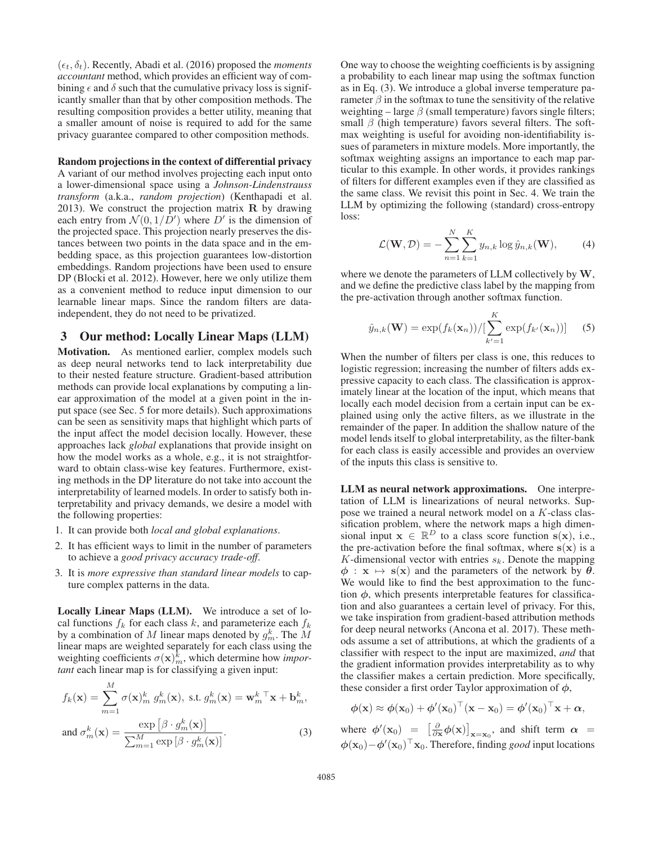$(\epsilon_t, \delta_t)$ . Recently, Abadi et al. (2016) proposed the *moments* accountant method which provides an efficient way of com*accountant* method, which provides an efficient way of combining  $\epsilon$  and  $\delta$  such that the cumulative privacy loss is significantly smaller than that by other composition methods. The resulting composition provides a better utility, meaning that a smaller amount of noise is required to add for the same privacy guarantee compared to other composition methods.

#### Random projections in the context of differential privacy

A variant of our method involves projecting each input onto a lower-dimensional space using a *Johnson-Lindenstrauss transform* (a.k.a., *random projection*) (Kenthapadi et al. 2013). We construct the projection matrix **R** by drawing each entry from  $\mathcal{N}(0, 1/D')$  where  $D'$  is the dimension of the projected space. This projection pearly preserves the disthe projected space. This projection nearly preserves the distances between two points in the data space and in the embedding space, as this projection guarantees low-distortion embeddings. Random projections have been used to ensure DP (Blocki et al. 2012). However, here we only utilize them as a convenient method to reduce input dimension to our learnable linear maps. Since the random filters are dataindependent, they do not need to be privatized.

### 3 Our method: Locally Linear Maps (LLM)

Motivation. As mentioned earlier, complex models such as deep neural networks tend to lack interpretability due to their nested feature structure. Gradient-based attribution methods can provide local explanations by computing a linear approximation of the model at a given point in the input space (see Sec. 5 for more details). Such approximations can be seen as sensitivity maps that highlight which parts of the input affect the model decision locally. However, these approaches lack *global* explanations that provide insight on how the model works as a whole, e.g., it is not straightforward to obtain class-wise key features. Furthermore, existing methods in the DP literature do not take into account the interpretability of learned models. In order to satisfy both interpretability and privacy demands, we desire a model with the following properties:

- 1. It can provide both *local and global explanations*.
- 2. It has efficient ways to limit in the number of parameters to achieve a *good privacy accuracy trade-off*.
- 3. It is *more expressive than standard linear models* to capture complex patterns in the data.

Locally Linear Maps (LLM). We introduce a set of local functions  $f_k$  for each class k, and parameterize each  $f_k$ by a combination of M linear maps denoted by  $g_m^k$ . The M linear maps are weighted separately for each class using the weighting coefficients  $\sigma(\mathbf{x})_m^k$ , which determine how *important* each linear man is for classifying a given input: *tant* each linear map is for classifying a given input:

$$
f_k(\mathbf{x}) = \sum_{m=1}^{M} \sigma(\mathbf{x})_m^k g_m^k(\mathbf{x}), \text{ s.t. } g_m^k(\mathbf{x}) = \mathbf{w}_m^{k \top} \mathbf{x} + \mathbf{b}_m^k,
$$
  
and  $\sigma_m^k(\mathbf{x}) = \frac{\exp\left[\beta \cdot g_m^k(\mathbf{x})\right]}{\sum_{m=1}^{M} \exp\left[\beta \cdot g_m^k(\mathbf{x})\right]}.$  (3)

One way to choose the weighting coefficients is by assigning a probability to each linear map using the softmax function as in Eq. (3). We introduce a global inverse temperature parameter  $\beta$  in the softmax to tune the sensitivity of the relative weighting – large  $\beta$  (small temperature) favors single filters; small  $\beta$  (high temperature) favors several filters. The softmax weighting is useful for avoiding non-identifiability issues of parameters in mixture models. More importantly, the softmax weighting assigns an importance to each map particular to this example. In other words, it provides rankings of filters for different examples even if they are classified as the same class. We revisit this point in Sec. 4. We train the LLM by optimizing the following (standard) cross-entropy loss:

$$
\mathcal{L}(\mathbf{W}, \mathcal{D}) = -\sum_{n=1}^{N} \sum_{k=1}^{K} y_{n,k} \log \hat{y}_{n,k}(\mathbf{W}), \qquad (4)
$$

where we denote the parameters of LLM collectively by **W**, and we define the predictive class label by the mapping from the pre-activation through another softmax function.

$$
\hat{y}_{n,k}(\mathbf{W}) = \exp(f_k(\mathbf{x}_n)) / [\sum_{k'=1}^{K} \exp(f_{k'}(\mathbf{x}_n))]
$$
 (5)

When the number of filters per class is one, this reduces to logistic regression; increasing the number of filters adds expressive capacity to each class. The classification is approximately linear at the location of the input, which means that locally each model decision from a certain input can be explained using only the active filters, as we illustrate in the remainder of the paper. In addition the shallow nature of the model lends itself to global interpretability, as the filter-bank for each class is easily accessible and provides an overview of the inputs this class is sensitive to.

LLM as neural network approximations. One interpretation of LLM is linearizations of neural networks. Suppose we trained a neural network model on a K-class classification problem, where the network maps a high dimensional input  $\mathbf{x} \in \mathbb{R}^D$  to a class score function  $\mathbf{s}(\mathbf{x})$ , i.e., the pre-activation before the final softmax, where  $\mathbf{s}(\mathbf{x})$  is a K-dimensional vector with entries  $s_k$ . Denote the mapping  $\phi$  :  $\mathbf{x} \mapsto \mathbf{s}(\mathbf{x})$  and the parameters of the network by  $\theta$ . We would like to find the best approximation to the function  $\phi$ , which presents interpretable features for classification and also guarantees a certain level of privacy. For this, we take inspiration from gradient-based attribution methods for deep neural networks (Ancona et al. 2017). These methods assume a set of attributions, at which the gradients of a classifier with respect to the input are maximized, *and* that the gradient information provides interpretability as to why the classifier makes a certain prediction. More specifically, these consider a first order Taylor approximation of *φ*,

$$
\phi(\mathbf{x}) \approx \phi(\mathbf{x}_0) + \phi'(\mathbf{x}_0)^\top (\mathbf{x} - \mathbf{x}_0) = \phi'(\mathbf{x}_0)^\top \mathbf{x} + \alpha,
$$

where  $\phi'(\mathbf{x}_0) = \left[\frac{\partial}{\partial \mathbf{x}} \phi(\mathbf{x})\right]_{\mathbf{x}=\mathbf{x}_0}$ , and shift term  $\alpha =$  $\phi(\mathbf{x}_0) - \phi'(\mathbf{x}_0)^\top \mathbf{x}_0$ . Therefore, finding *good* input locations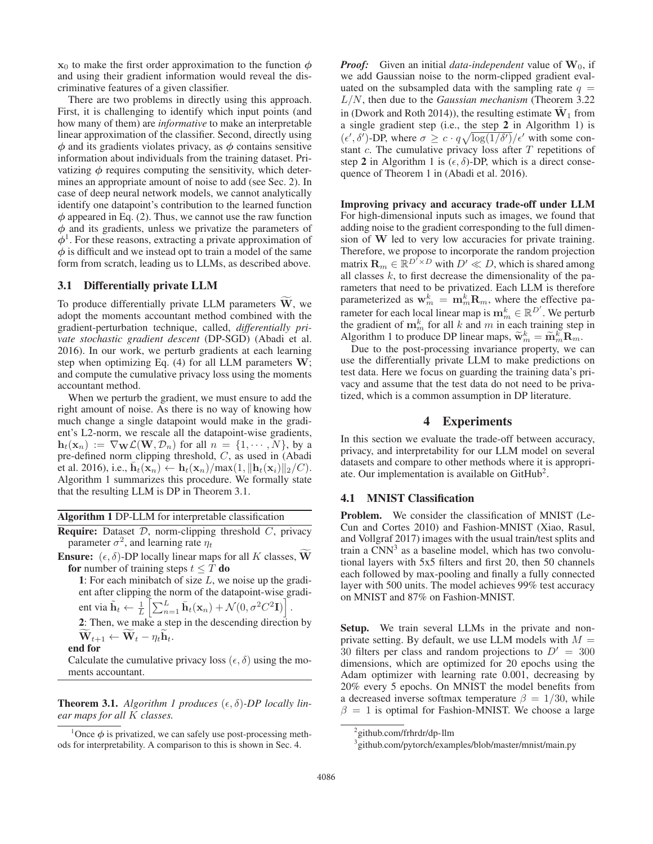$\mathbf{x}_0$  to make the first order approximation to the function  $\phi$ and using their gradient information would reveal the discriminative features of a given classifier.

There are two problems in directly using this approach. First, it is challenging to identify which input points (and how many of them) are *informative* to make an interpretable linear approximation of the classifier. Second, directly using *φ* and its gradients violates privacy, as *φ* contains sensitive information about individuals from the training dataset. Privatizing  $\phi$  requires computing the sensitivity, which determines an appropriate amount of noise to add (see Sec. 2). In case of deep neural network models, we cannot analytically identify one datapoint's contribution to the learned function  $\phi$  appeared in Eq. (2). Thus, we cannot use the raw function *φ* and its gradients, unless we privatize the parameters of *φ*1. For these reasons, extracting a private approximation of *φ* is difficult and we instead opt to train a model of the same form from scratch, leading us to LLMs, as described above.

#### 3.1 Differentially private LLM

To produce differentially private LLM parameters **W**, we adopt the moments accountant method combined with the gradient-perturbation technique, called, *differentially private stochastic gradient descent* (DP-SGD) (Abadi et al. 2016). In our work, we perturb gradients at each learning step when optimizing Eq. (4) for all LLM parameters **W**; and compute the cumulative privacy loss using the moments accountant method.

When we perturb the gradient, we must ensure to add the right amount of noise. As there is no way of knowing how much change a single datapoint would make in the gradient's L2-norm, we rescale all the datapoint-wise gradients,  $\mathbf{h}_t(\mathbf{x}_n) := \nabla_{\mathbf{W}} \mathcal{L}(\mathbf{W}, \mathcal{D}_n)$  for all  $n = \{1, \dots, N\}$ , by a pre-defined norm clipping threshold, C, as used in (Abadi et al. 2016), i.e.,  $\bar{\mathbf{h}}_t(\mathbf{x}_n) \leftarrow \mathbf{h}_t(\mathbf{x}_n)/\max(1, \|\mathbf{h}_t(\mathbf{x}_i)\|_2/C).$ Algorithm 1 summarizes this procedure. We formally state that the resulting LLM is DP in Theorem 3.1.

Algorithm 1 DP-LLM for interpretable classification

**Require:** Dataset  $D$ , norm-clipping threshold  $C$ , privacy parameter  $\sigma^2$ , and learning rate  $\eta_t$ 

**Ensure:**  $(\epsilon, \delta)$ -DP locally linear maps for all K classes, **W** for number of training steps  $t < T$  do for number of training steps  $t \leq T$  do

1: For each minibatch of size  $L$ , we noise up the gradient after clipping the norm of the datapoint-wise gradient via  $\tilde{\mathbf{h}}_t \leftarrow \frac{1}{L} \left[ \sum_{n=1}^L \bar{\mathbf{h}}_t(\mathbf{x}_n) + \mathcal{N}(0, \sigma^2 C^2 \mathbf{I}) \right]$ .

2: Then, we make a step in the descending direction by  $\mathbf{W}_{t+1} \leftarrow \mathbf{W}_{t} - \eta_t \mathbf{h}_t.$ 

end for

Calculate the cumulative privacy loss  $(\epsilon, \delta)$  using the mo-<br>ments accountant ments accountant.

**Theorem 3.1.** Algorithm 1 produces  $(\epsilon, \delta)$ -DP locally lin-<br>ear mans for all K classes *ear maps for all* K *classes.*

*Proof:* Given an initial *data-independent* value of  $W_0$ , if we add Gaussian noise to the norm-clipped gradient evaluated on the subsampled data with the sampling rate  $q =$ L/N, then due to the *Gaussian mechanism* (Theorem 3.22 in (Dwork and Roth 2014)), the resulting estimate  $W_1$  from a single gradient step (i.e., the step 2 in Algorithm 1) is  $(\epsilon', \delta')$ -DP, where  $\sigma \geq c \cdot q \sqrt{\log(1/\delta')} / \epsilon'$  with some constant c. The cumulative privacy loss after T repetitions of stant  $c$ . The cumulative privacy loss after  $T$  repetitions of step 2 in Algorithm 1 is  $(\epsilon, \delta)$ -DP, which is a direct consequence of Theorem 1 in (Abadi et al. 2016).

Improving privacy and accuracy trade-off under LLM For high-dimensional inputs such as images, we found that adding noise to the gradient corresponding to the full dimension of **W** led to very low accuracies for private training. Therefore, we propose to incorporate the random projection matrix  $\mathbf{R}_m \in \mathbb{R}^{D' \times D}$  with  $D' \ll D,$  which is shared among all classes  $k$ , to first decrease the dimensionality of the parameters that need to be privatized. Each LLM is therefore parameterized as  $\mathbf{w}_m^k = \mathbf{m}_m^k \mathbf{R}_m$ , where the effective parameter for each local linear map is  $\mathbf{m}_m^k \in \mathbb{R}^{D'}$ . We parturb rameter for each local linear map is  $\mathbf{m}_m^k \in \mathbb{R}^{D'}$ . We perturb the gradient of  $\mathbf{m}_m^k$  for all k and m in each training step in Algorithm 1 to produce DP linear maps,  $\tilde{\mathbf{w}}_m^k = \tilde{\mathbf{m}}_m^k \mathbf{R}_m$ .<br>Due to the post-processing invariance property we

Due to the post-processing invariance property, we can use the differentially private LLM to make predictions on test data. Here we focus on guarding the training data's privacy and assume that the test data do not need to be privatized, which is a common assumption in DP literature.

### 4 Experiments

In this section we evaluate the trade-off between accuracy, privacy, and interpretability for our LLM model on several datasets and compare to other methods where it is appropriate. Our implementation is available on GitHub<sup>2</sup>.

#### 4.1 MNIST Classification

Problem. We consider the classification of MNIST (Le-Cun and Cortes 2010) and Fashion-MNIST (Xiao, Rasul, and Vollgraf 2017) images with the usual train/test splits and train a  $\text{CNN}^3$  as a baseline model, which has two convolutional layers with 5x5 filters and first 20, then 50 channels each followed by max-pooling and finally a fully connected layer with 500 units. The model achieves 99% test accuracy on MNIST and 87% on Fashion-MNIST.

Setup. We train several LLMs in the private and nonprivate setting. By default, we use LLM models with  $M =$ 30 filters per class and random projections to  $D'$ <br>dimensions which are optimized for 20 epochs in dimensions, which are optimized for 20 epochs using the Adam optimizer with learning rate 0.001, decreasing by 20% every 5 epochs. On MNIST the model benefits from a decreased inverse softmax temperature  $\beta = 1/30$ , while  $\beta = 1$  is optimal for Fashion-MNIST. We choose a large

<sup>&</sup>lt;sup>1</sup>Once  $\phi$  is privatized, we can safely use post-processing methods for interpretability. A comparison to this is shown in Sec. 4.

<sup>&</sup>lt;sup>2</sup> github.com/frhrdr/dp-llm

<sup>3</sup> github.com/pytorch/examples/blob/master/mnist/main.py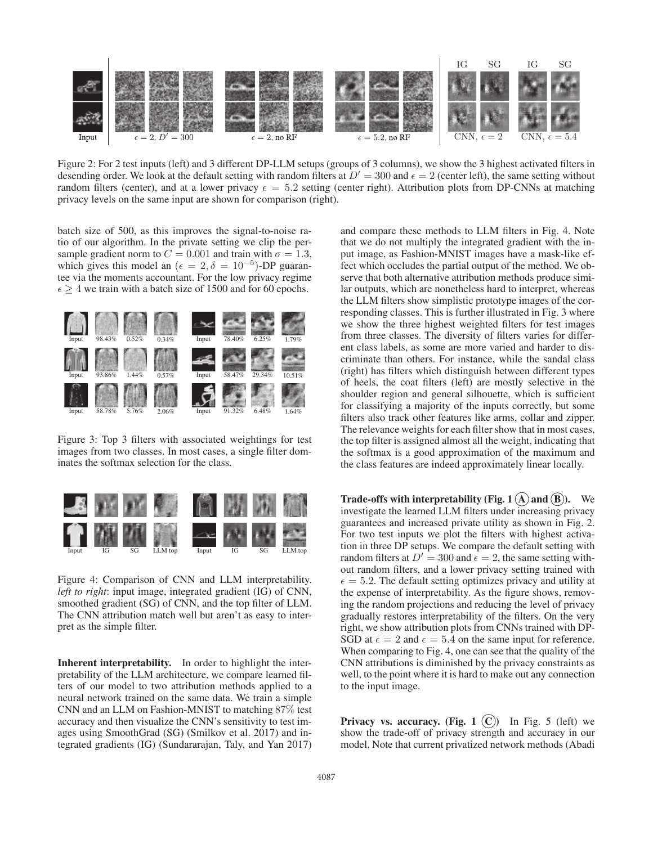

Figure 2: For 2 test inputs (left) and 3 different DP-LLM setups (groups of 3 columns), we show the 3 highest activated filters in desending order. We look at the default setting with random filters at  $D' = 300$  and  $\epsilon = 2$  (center left), the same setting without random filters (center) and at a lower privacy  $\epsilon = 5.2$  setting (center right). Attribu random filters (center), and at a lower privacy  $\epsilon = 5.2$  setting (center right). Attribution plots from DP-CNNs at matching<br>privacy levels on the same input are shown for comparison (right) privacy levels on the same input are shown for comparison (right).

batch size of 500, as this improves the signal-to-noise ratio of our algorithm. In the private setting we clip the persample gradient norm to  $C = 0.001$  and train with  $\sigma = 1.3$ , which gives this model an ( $\epsilon = 2, \delta = 10^{-5}$ )-DP guarantee via the moments accountant. For the low privacy regime tee via the moments accountant. For the low privacy regime  $\epsilon \geq 4$  we train with a batch size of 1500 and for 60 epochs.



Figure 3: Top 3 filters with associated weightings for test images from two classes. In most cases, a single filter dominates the softmax selection for the class.



Figure 4: Comparison of CNN and LLM interpretability. *left to right*: input image, integrated gradient (IG) of CNN, smoothed gradient (SG) of CNN, and the top filter of LLM. The CNN attribution match well but aren't as easy to interpret as the simple filter.

Inherent interpretability. In order to highlight the interpretability of the LLM architecture, we compare learned filters of our model to two attribution methods applied to a neural network trained on the same data. We train a simple CNN and an LLM on Fashion-MNIST to matching 87% test accuracy and then visualize the CNN's sensitivity to test images using SmoothGrad (SG) (Smilkov et al. 2017) and integrated gradients (IG) (Sundararajan, Taly, and Yan 2017) and compare these methods to LLM filters in Fig. 4. Note that we do not multiply the integrated gradient with the input image, as Fashion-MNIST images have a mask-like effect which occludes the partial output of the method. We observe that both alternative attribution methods produce similar outputs, which are nonetheless hard to interpret, whereas the LLM filters show simplistic prototype images of the corresponding classes. This is further illustrated in Fig. 3 where we show the three highest weighted filters for test images from three classes. The diversity of filters varies for different class labels, as some are more varied and harder to discriminate than others. For instance, while the sandal class (right) has filters which distinguish between different types of heels, the coat filters (left) are mostly selective in the shoulder region and general silhouette, which is sufficient for classifying a majority of the inputs correctly, but some filters also track other features like arms, collar and zipper. The relevance weights for each filter show that in most cases, the top filter is assigned almost all the weight, indicating that the softmax is a good approximation of the maximum and the class features are indeed approximately linear locally.

Trade-offs with interpretability (Fig. 1  $(A)$  and  $(B)$ ). We investigate the learned LLM filters under increasing privacy guarantees and increased private utility as shown in Fig. 2. For two test inputs we plot the filters with highest activation in three DP setups. We compare the default setting with random filters at  $D' = 300$  and  $\epsilon = 2$ , the same setting with-<br>out random filters, and a lower privacy setting trained with out random filters, and a lower privacy setting trained with  $\epsilon = 5.2$ . The default setting optimizes privacy and utility at the expense of interpretability. As the figure shows removthe expense of interpretability. As the figure shows, removing the random projections and reducing the level of privacy gradually restores interpretability of the filters. On the very right, we show attribution plots from CNNs trained with DP-SGD at  $\epsilon = 2$  and  $\epsilon = 5.4$  on the same input for reference.<br>When comparing to Fig. 4, one can see that the quality of the When comparing to Fig. 4, one can see that the quality of the CNN attributions is diminished by the privacy constraints as well, to the point where it is hard to make out any connection to the input image.

**Privacy vs. accuracy.** (Fig. 1  $(C)$ ) In Fig. 5 (left) we show the trade-off of privacy strength and accuracy in our model. Note that current privatized network methods (Abadi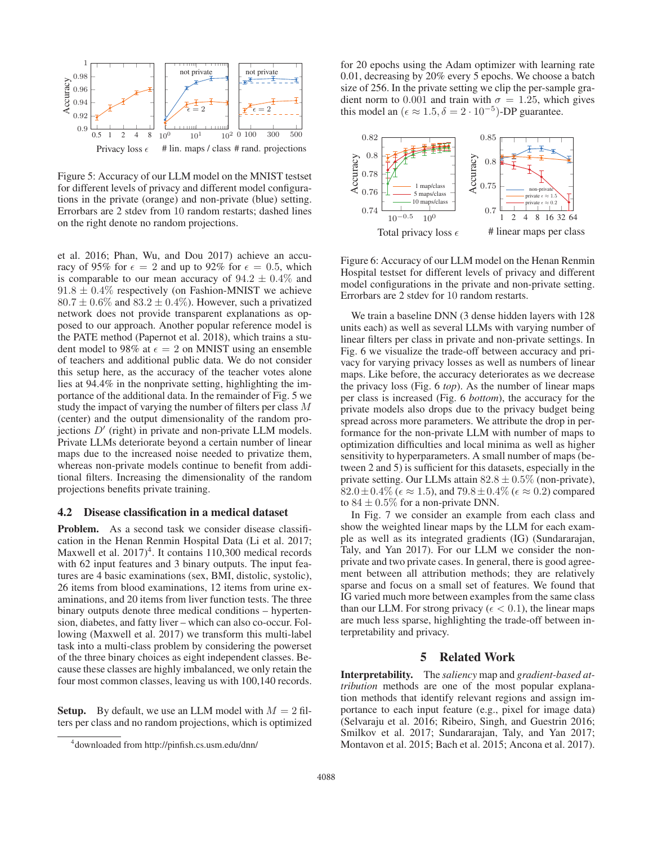

Figure 5: Accuracy of our LLM model on the MNIST testset for different levels of privacy and different model configurations in the private (orange) and non-private (blue) setting. Errorbars are 2 stdev from 10 random restarts; dashed lines on the right denote no random projections.

et al. 2016; Phan, Wu, and Dou 2017) achieve an accuracy of 95% for  $\epsilon = 2$  and up to 92% for  $\epsilon = 0.5$ , which<br>is comparable to our mean accuracy of 94.2 + 0.4% and is comparable to our mean accuracy of  $94.2 \pm 0.4\%$  and  $91.8 \pm 0.4\%$  respectively (on Fashion-MNIST we achieve  $80.7 \pm 0.6\%$  and  $83.2 \pm 0.4\%$ ). However, such a privatized network does not provide transparent explanations as opposed to our approach. Another popular reference model is the PATE method (Papernot et al. 2018), which trains a student model to 98% at  $\epsilon = 2$  on MNIST using an ensemble<br>of teachers and additional public data. We do not consider of teachers and additional public data. We do not consider this setup here, as the accuracy of the teacher votes alone lies at 94.4% in the nonprivate setting, highlighting the importance of the additional data. In the remainder of Fig. 5 we study the impact of varying the number of filters per class M (center) and the output dimensionality of the random projections  $D'$  (right) in private and non-private LLM models. Private LLMs deteriorate beyond a certain number of linear maps due to the increased noise needed to privatize them, whereas non-private models continue to benefit from additional filters. Increasing the dimensionality of the random projections benefits private training.

### 4.2 Disease classification in a medical dataset

Problem. As a second task we consider disease classification in the Henan Renmin Hospital Data (Li et al. 2017; Maxwell et al.  $2017)^4$ . It contains 110,300 medical records with 62 input features and 3 binary outputs. The input features are 4 basic examinations (sex, BMI, distolic, systolic), 26 items from blood examinations, 12 items from urine examinations, and 20 items from liver function tests. The three binary outputs denote three medical conditions – hypertension, diabetes, and fatty liver – which can also co-occur. Following (Maxwell et al. 2017) we transform this multi-label task into a multi-class problem by considering the powerset of the three binary choices as eight independent classes. Because these classes are highly imbalanced, we only retain the four most common classes, leaving us with 100,140 records.

**Setup.** By default, we use an LLM model with  $M = 2$  filters per class and no random projections, which is optimized

for 20 epochs using the Adam optimizer with learning rate 0.01, decreasing by 20% every 5 epochs. We choose a batch size of 256. In the private setting we clip the per-sample gradient norm to 0.001 and train with  $\sigma = 1.25$ , which gives this model an  $(\epsilon \approx 1.5, \delta = 2 \cdot 10^{-5})$ -DP guarantee.



Figure 6: Accuracy of our LLM model on the Henan Renmin Hospital testset for different levels of privacy and different model configurations in the private and non-private setting. Errorbars are 2 stdev for 10 random restarts.

We train a baseline DNN (3 dense hidden layers with 128 units each) as well as several LLMs with varying number of linear filters per class in private and non-private settings. In Fig. 6 we visualize the trade-off between accuracy and privacy for varying privacy losses as well as numbers of linear maps. Like before, the accuracy deteriorates as we decrease the privacy loss (Fig. 6 *top*). As the number of linear maps per class is increased (Fig. 6 *bottom*), the accuracy for the private models also drops due to the privacy budget being spread across more parameters. We attribute the drop in performance for the non-private LLM with number of maps to optimization difficulties and local minima as well as higher sensitivity to hyperparameters. A small number of maps (between 2 and 5) is sufficient for this datasets, especially in the private setting. Our LLMs attain  $82.8 \pm 0.5\%$  (non-private),  $82.0 \pm 0.4\%$  ( $\epsilon \approx 1.5$ ), and  $79.8 \pm 0.4\%$  ( $\epsilon \approx 0.2$ ) compared<br>to  $84 \pm 0.5\%$  for a non-private DNN to  $84 \pm 0.5\%$  for a non-private DNN.

In Fig. 7 we consider an example from each class and show the weighted linear maps by the LLM for each example as well as its integrated gradients (IG) (Sundararajan, Taly, and Yan 2017). For our LLM we consider the nonprivate and two private cases. In general, there is good agreement between all attribution methods; they are relatively sparse and focus on a small set of features. We found that IG varied much more between examples from the same class than our LLM. For strong privacy ( $\epsilon < 0.1$ ), the linear maps<br>are much less sparse highlighting the trade-off between inare much less sparse, highlighting the trade-off between interpretability and privacy.

### 5 Related Work

Interpretability. The *saliency* map and *gradient-based attribution* methods are one of the most popular explanation methods that identify relevant regions and assign importance to each input feature (e.g., pixel for image data) (Selvaraju et al. 2016; Ribeiro, Singh, and Guestrin 2016; Smilkov et al. 2017; Sundararajan, Taly, and Yan 2017; Montavon et al. 2015; Bach et al. 2015; Ancona et al. 2017).

<sup>4</sup> downloaded from http://pinfish.cs.usm.edu/dnn/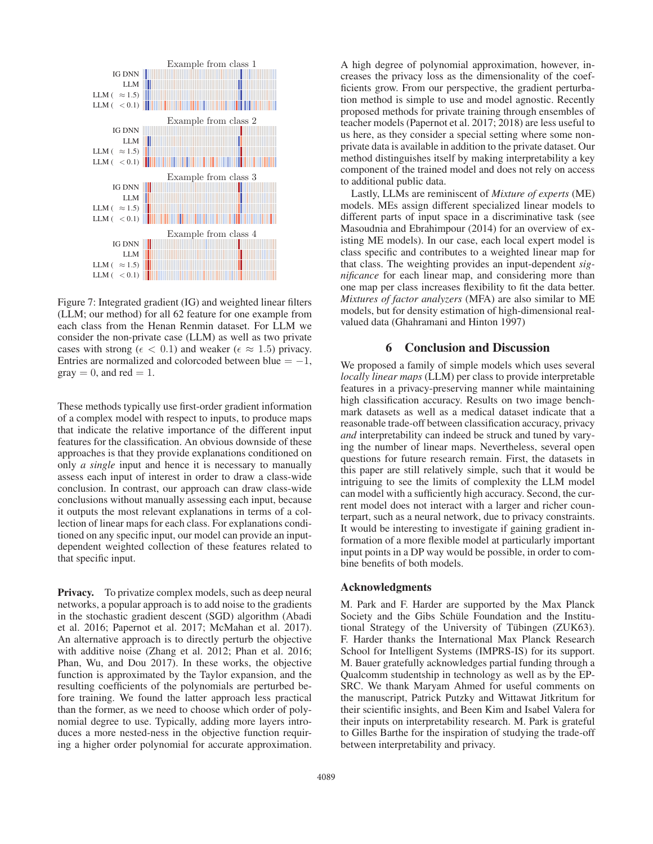

Figure 7: Integrated gradient (IG) and weighted linear filters (LLM; our method) for all 62 feature for one example from each class from the Henan Renmin dataset. For LLM we consider the non-private case (LLM) as well as two private cases with strong ( $\epsilon < 0.1$ ) and weaker ( $\epsilon \approx 1.5$ ) privacy.<br>Entries are normalized and colorcoded between blue = -1 Entries are normalized and colorcoded between blue  $= -1$ ,  $\text{gray} = 0$ , and red = 1.

These methods typically use first-order gradient information of a complex model with respect to inputs, to produce maps that indicate the relative importance of the different input features for the classification. An obvious downside of these approaches is that they provide explanations conditioned on only *a single* input and hence it is necessary to manually assess each input of interest in order to draw a class-wide conclusion. In contrast, our approach can draw class-wide conclusions without manually assessing each input, because it outputs the most relevant explanations in terms of a collection of linear maps for each class. For explanations conditioned on any specific input, our model can provide an inputdependent weighted collection of these features related to that specific input.

**Privacy.** To privatize complex models, such as deep neural networks, a popular approach is to add noise to the gradients in the stochastic gradient descent (SGD) algorithm (Abadi et al. 2016; Papernot et al. 2017; McMahan et al. 2017). An alternative approach is to directly perturb the objective with additive noise (Zhang et al. 2012; Phan et al. 2016; Phan, Wu, and Dou 2017). In these works, the objective function is approximated by the Taylor expansion, and the resulting coefficients of the polynomials are perturbed before training. We found the latter approach less practical than the former, as we need to choose which order of polynomial degree to use. Typically, adding more layers introduces a more nested-ness in the objective function requiring a higher order polynomial for accurate approximation.

A high degree of polynomial approximation, however, increases the privacy loss as the dimensionality of the coefficients grow. From our perspective, the gradient perturbation method is simple to use and model agnostic. Recently proposed methods for private training through ensembles of teacher models (Papernot et al. 2017; 2018) are less useful to us here, as they consider a special setting where some nonprivate data is available in addition to the private dataset. Our method distinguishes itself by making interpretability a key component of the trained model and does not rely on access to additional public data.

Lastly, LLMs are reminiscent of *Mixture of experts* (ME) models. MEs assign different specialized linear models to different parts of input space in a discriminative task (see Masoudnia and Ebrahimpour (2014) for an overview of existing ME models). In our case, each local expert model is class specific and contributes to a weighted linear map for that class. The weighting provides an input-dependent *significance* for each linear map, and considering more than one map per class increases flexibility to fit the data better. *Mixtures of factor analyzers* (MFA) are also similar to ME models, but for density estimation of high-dimensional realvalued data (Ghahramani and Hinton 1997)

# 6 Conclusion and Discussion

We proposed a family of simple models which uses several *locally linear maps* (LLM) per class to provide interpretable features in a privacy-preserving manner while maintaining high classification accuracy. Results on two image benchmark datasets as well as a medical dataset indicate that a reasonable trade-off between classification accuracy, privacy *and* interpretability can indeed be struck and tuned by varying the number of linear maps. Nevertheless, several open questions for future research remain. First, the datasets in this paper are still relatively simple, such that it would be intriguing to see the limits of complexity the LLM model can model with a sufficiently high accuracy. Second, the current model does not interact with a larger and richer counterpart, such as a neural network, due to privacy constraints. It would be interesting to investigate if gaining gradient information of a more flexible model at particularly important input points in a DP way would be possible, in order to combine benefits of both models.

#### Acknowledgments

M. Park and F. Harder are supported by the Max Planck Society and the Gibs Schüle Foundation and the Institutional Strategy of the University of Tübingen (ZUK63). F. Harder thanks the International Max Planck Research School for Intelligent Systems (IMPRS-IS) for its support. M. Bauer gratefully acknowledges partial funding through a Qualcomm studentship in technology as well as by the EP-SRC. We thank Maryam Ahmed for useful comments on the manuscript, Patrick Putzky and Wittawat Jitkritum for their scientific insights, and Been Kim and Isabel Valera for their inputs on interpretability research. M. Park is grateful to Gilles Barthe for the inspiration of studying the trade-off between interpretability and privacy.